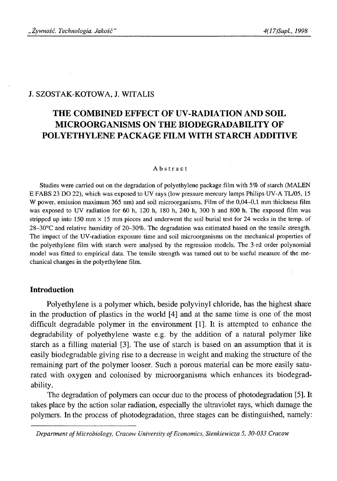#### J. SZOSTAK-KOTOWA, J. WITALIS

# **THE COMBINED EFFECT OF UV-RADIATION AND SOIL MICROORGANISMS ON THE BIODEGRAD ABILITY OF POLYETHYLENE PACKAGE FILM WITH STARCH ADDITIVE**

#### Abstract

Studies were carried out on the degradation of polyethylene package film with 5% of starch (MALEN E FABS 23 DO 22), which was exposed to UV rays (low pressure mercury lamps Philips UV-A TL/05, 15 W power, emission maximum 365 nm) and soil microorganisms. Film of the 0,04–0,1 mm thickness film was exposed to UV radiation for 60 h, 120 h, 180 h, 240 h, 300 h and 800 h. The exposed film was stripped up into 150 mm  $\times$  15 mm pieces and underwent the soil burial test for 24 weeks in the temp, of 28-30°C and relative humidity of 20-30%. The degradation was estimated based on the tensile strength. The impact of the UV-radiation exposure time and soil microorganisms on the mechanical properties of the polyethylene film with starch were analysed by the regression models. The 3-rd order polynomial model was fitted to empirical data. The tensile strength was turned out to be useful measure of the mechanical changes in the polyethylene film.

#### **Introduction**

Polyethylene is a polymer which, beside polyvinyl chloride, has the highest share in the production of plastics in the world [4] and at the same time is one of the most difficult degradable polymer in the environment [1]. It is attempted to enhance the degradability of polyethylene waste e.g. by the addition of a natural polymer like starch as a filling material [3]. The use of starch is based on an assumption that it is easily biodegradable giving rise to a decrease in weight and making the structure of the remaining part of the polymer looser. Such a porous material can be more easily saturated with oxygen and colonised by microorganisms which enhances its biodegradability.

The degradation of polymers can occur due to the process of photodegradation [5]. It takes place by the action solar radiation, especially the ultraviolet rays, which damage the polymers. In the process of photodegradation, three stages can be distinguished, namely:

*Department of Microbiology, Cracow University of Economics, Sienkiewicza 5, 30-033 Cracow*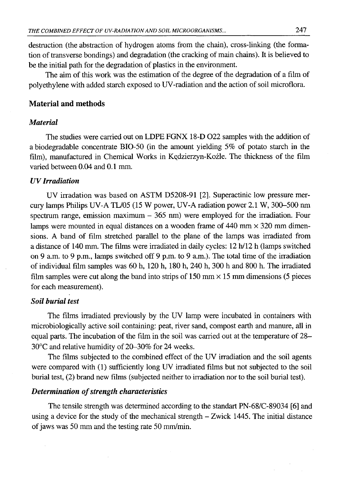destruction (the abstraction of hydrogen atoms from the chain), cross-linking (the formation of transverse bondings) and degradation (the cracking of main chains). It is believed to be the initial path for the degradation of plastics in the environment.

The aim of this work was the estimation of the degree of the degradation of a film of polyethylene with added starch exposed to UV-radiation and the action of soil microflora.

# **Material and methods**

# *Material*

The studies were carried out on LDPE FGNX 18-D 022 samples with the addition of a biodegradable concentrate BIO-50 (in the amount yielding 5% of potato starch in the film), manufactured in Chemical Works in Kędzierzyn-Koźle. The thickness of the film varied between 0.04 and 0.1 mm.

# *UV Irradiation*

UV irradation was based on ASTM D5208-91 [2]. Superactinic low pressure mercury lamps Philips UV-A TL/05 (15 W power, UV-A radiation power 2.1 W, 300-500 nm spectrum range, emission maximum  $-365$  nm) were employed for the irradiation. Four lamps were mounted in equal distances on a wooden frame of  $440 \text{ mm} \times 320 \text{ mm}$  dimensions. A band of film stretched parallel to the plane of the lamps was irradiated from a distance of 140 mm. The films were irradiated in daily cycles: 12 h/12 h (lamps switched on 9 a.m. to 9 p.m., lamps switched off 9 p.m. to 9 a.m.). The total time of the irradiation of individual film samples was 60 h, 120 h, 180 h, 240 h, 300 h and 800 h. The irradiated film samples were cut along the band into strips of  $150 \text{ mm} \times 15 \text{ mm}$  dimensions (5 pieces for each measurement).

# *Soil burial test*

The films irradiated previously by the UV lamp were incubated in containers with microbiologically active soil containing: peat, river sand, compost earth and manure, all in equal parts. The incubation of the film in the soil was carried out at the temperature of 28- 30°C and relative humidity of 20-30% for 24 weeks.

The films subjected to the combined effect of the UV irradiation and the soil agents were compared with (1) sufficiently long UV irradiated films but not subjected to the soil burial test, (2) brand new films (subjected neither to irradiation nor to the soil burial test).

#### *Determination of strength characteristics*

The tensile strength was determined according to the standart PN-68/C-89034 [6] and using a device for the study of the mechanical strength - Zwick 1445. The initial distance of jaws was 50 mm and the testing rate 50 mm/min.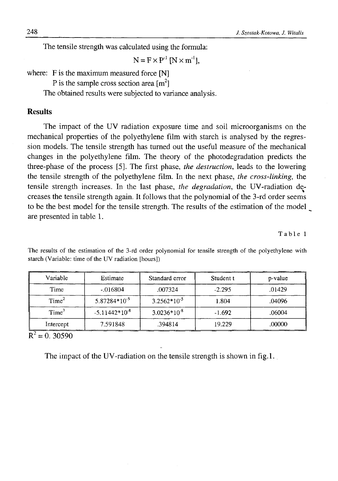The tensile strength was calculated using the formula:

$$
N = F \times P^{-1} [N \times m^{-1}],
$$

where: F is the maximum measured force [N]

P is the sample cross section area  $\text{Im}^2$ 

The obtained results were subjected to variance analysis.

## **Results**

The impact of the UV radiation exposure time and soil microorganisms on the mechanical properties of the polyethylene film with starch is analysed by the regression models. The tensile strength has turned out the useful measure of the mechanical changes in the polyethylene film. The theory of the photodegradation predicts the three-phase of the process [5]. The first phase, *the destruction*, leads to the lowering the tensile strength of the polyethylene film. In the next phase, *the cross-linking,* the tensile strength increases. In the last phase, *the degradation,* the UV-radiation decreases the tensile strength again. It follows that the polynomial of the 3-rd order seems to be the best model for the tensile strength. The results of the estimation of the model are presented in table 1.

Table 1

| Variable          | Estimate           | Standard error   | Student t | p-value |
|-------------------|--------------------|------------------|-----------|---------|
| Time              | $-0.016804$        | .007324          | $-2.295$  | .01429  |
| Time <sup>2</sup> | $5.87284*10^{-5}$  | $3.2562*10^{-5}$ | 1.804     | .04096  |
| Time <sup>3</sup> | $-5.11442*10^{-8}$ | $3.0236*10-8$    | $-1.692$  | .06004  |
| Intercept         | 7.591848           | .394814          | 19.229    | .00000  |

The results of the estimation of the 3-rd order polynomial for tensile strength of the polyethylene with starch (Variable: time of the UV radiation [hours])

 $R^2 = 0.30590$ 

The impact of the UV-radiation on the tensile strength is shown in fig.1.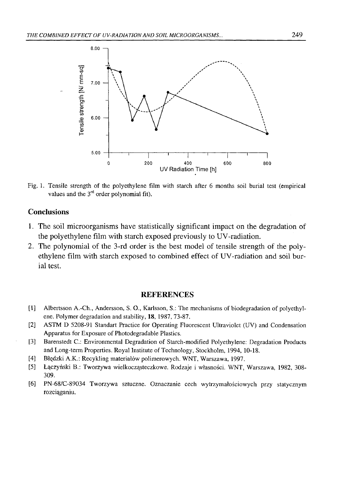

Fig. 1. Tensile strength of the polyethylene film with starch after 6 months soil burial test (empirical values and the  $3<sup>rd</sup>$  order polynomial fit).

# **Conclusions**

- 1. The soil microorganisms have statistically significant impact on the degradation of the polyethylene film with starch exposed previously to UV-radiation.
- 2. The polynomial of the 3-rd order is the best model of tensile strength of the polyethylene film with starch exposed to combined effect of UV-radiation and soil burial test.

## **REFERENCES**

- [1] Albertsson A.-Ch., Andersson, S. O., Karlsson, S.: The mechanisms of biodegradation of polyethylene. Polymer degradation and stability, 18, 1987, 73-87.
- [2] ASTM D 5208-91 Standart Practice for Operating Fluorescent Ultraviolet (UV) and Condensation Apparatus for Exposure of Photodegradable Plastics.
- [3] Barenstedt C.: Environmental Degradation of Starch-modified Polyethylene: Degradation Products and Long-term Properties. Royal Institute of Technology, Stockholm, 1994, 10-18.
- [4] Błędzki A.K.: Recykling materiałów polimerowych. WNT, Warszawa, 1997.
- [5] Łączyński B.: Tworzywa wielkocząsteczkowe. Rodzaje i własności. WNT, Warszawa, 1982, 308- 309.
- [6 ] PN-68/C-89034 Tworzywa sztuczne. Oznaczanie cech wytrzymałościowych przy statycznym rozciąganiu.